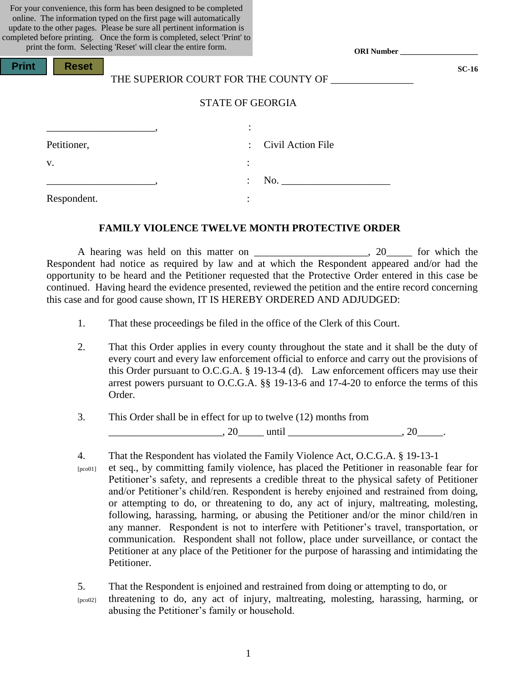For your convenience, this form has been designed to be completed online. The information typed on the first page will automatically update to the other pages. Please be sure all pertinent information is completed before printing. Once the form is completed, select 'Print' to print the form. Selecting 'Reset' will clear the entire form.

**Print Reset** 

| THE SUPERIOR COURT FOR THE COUNTY OF |  |
|--------------------------------------|--|

**ORI Number \_\_\_\_\_\_\_\_\_\_\_\_\_\_\_\_\_\_\_\_**

**SC-16**

### STATE OF GEORGIA

|             | ٠                    |
|-------------|----------------------|
| Petitioner, | : Civil Action File  |
| v.          | ٠                    |
|             | No.<br>$\mathcal{L}$ |
| Respondent. |                      |

#### **FAMILY VIOLENCE TWELVE MONTH PROTECTIVE ORDER**

A hearing was held on this matter on \_\_\_\_\_\_\_\_\_\_\_\_\_\_\_\_\_, 20\_\_\_\_\_ for which the Respondent had notice as required by law and at which the Respondent appeared and/or had the opportunity to be heard and the Petitioner requested that the Protective Order entered in this case be continued. Having heard the evidence presented, reviewed the petition and the entire record concerning this case and for good cause shown, IT IS HEREBY ORDERED AND ADJUDGED:

- 1. That these proceedings be filed in the office of the Clerk of this Court.
- 2. That this Order applies in every county throughout the state and it shall be the duty of every court and every law enforcement official to enforce and carry out the provisions of this Order pursuant to O.C.G.A. § 19-13-4 (d). Law enforcement officers may use their arrest powers pursuant to O.C.G.A. §§ 19-13-6 and 17-4-20 to enforce the terms of this Order.
- 3. This Order shall be in effect for up to twelve (12) months from  $, 20$  until  $, 20$

4. That the Respondent has violated the Family Violence Act, O.C.G.A. § 19-13-1 [pco01] et seq., by committing family violence, has placed the Petitioner in reasonable fear for Petitioner's safety, and represents a credible threat to the physical safety of Petitioner and/or Petitioner's child/ren. Respondent is hereby enjoined and restrained from doing, or attempting to do, or threatening to do, any act of injury, maltreating, molesting, following, harassing, harming, or abusing the Petitioner and/or the minor child/ren in any manner. Respondent is not to interfere with Petitioner's travel, transportation, or communication. Respondent shall not follow, place under surveillance, or contact the Petitioner at any place of the Petitioner for the purpose of harassing and intimidating the Petitioner.

5. That the Respondent is enjoined and restrained from doing or attempting to do, or [pco02] threatening to do, any act of injury, maltreating, molesting, harassing, harming, or abusing the Petitioner's family or household.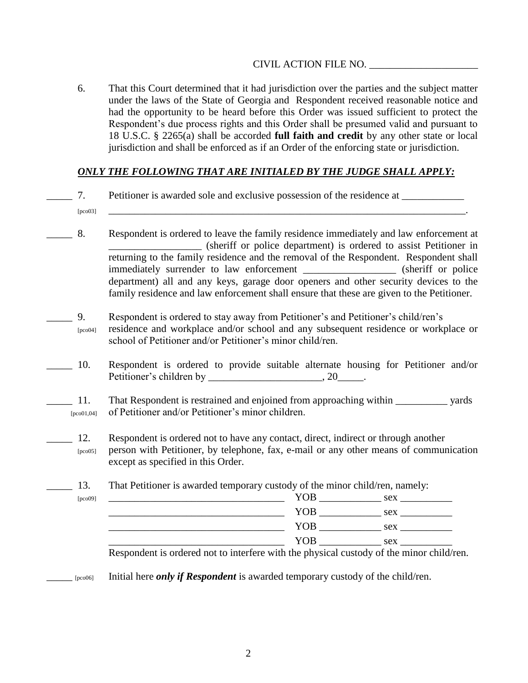6. That this Court determined that it had jurisdiction over the parties and the subject matter under the laws of the State of Georgia and Respondent received reasonable notice and had the opportunity to be heard before this Order was issued sufficient to protect the Respondent's due process rights and this Order shall be presumed valid and pursuant to 18 U.S.C. § 2265(a) shall be accorded **full faith and credit** by any other state or local jurisdiction and shall be enforced as if an Order of the enforcing state or jurisdiction.

# *ONLY THE FOLLOWING THAT ARE INITIALED BY THE JUDGE SHALL APPLY:*

- 7. Petitioner is awarded sole and exclusive possession of the residence at
- [pco03] \_\_\_\_\_\_\_\_\_\_\_\_\_\_\_\_\_\_\_\_\_\_\_\_\_\_\_\_\_\_\_\_\_\_\_\_\_\_\_\_\_\_\_\_\_\_\_\_\_\_\_\_\_\_\_\_\_\_\_\_\_\_\_\_\_\_\_\_\_.
- \_\_\_\_\_ 8. Respondent is ordered to leave the family residence immediately and law enforcement at \_\_\_\_\_\_\_\_\_\_\_\_\_\_\_\_\_\_ (sheriff or police department) is ordered to assist Petitioner in returning to the family residence and the removal of the Respondent. Respondent shall immediately surrender to law enforcement \_\_\_\_\_\_\_\_\_\_\_\_\_\_\_\_\_\_ (sheriff or police department) all and any keys, garage door openers and other security devices to the family residence and law enforcement shall ensure that these are given to the Petitioner.
- \_\_\_\_\_ 9. Respondent is ordered to stay away from Petitioner's and Petitioner's child/ren's [pco04] residence and workplace and/or school and any subsequent residence or workplace or school of Petitioner and/or Petitioner's minor child/ren.
- \_\_\_\_\_ 10. Respondent is ordered to provide suitable alternate housing for Petitioner and/or Petitioner's children by \_\_\_\_\_\_\_\_\_\_\_\_\_\_\_\_\_\_\_\_\_\_\_, 20\_\_\_\_\_\_.
- 11. That Respondent is restrained and enjoined from approaching within vards [pco01,04] of Petitioner and/or Petitioner's minor children.
	- 12. Respondent is ordered not to have any contact, direct, indirect or through another [pco05] person with Petitioner, by telephone, fax, e-mail or any other means of communication except as specified in this Order.

13. That Petitioner is awarded temporary custody of the minor child/ren, namely:

| [ $pco09$ ] | YOB                                                                                 | sex |
|-------------|-------------------------------------------------------------------------------------|-----|
|             | YOB                                                                                 | sex |
|             | YOB                                                                                 | sex |
|             | YOB                                                                                 | sex |
|             | Deconomication and not to interface with the physical everally of the miner shildle |     |

Respondent is ordered not to interfere with the physical custody of the minor child/ren.

\_\_\_\_\_ [pco06] Initial here *only if Respondent* is awarded temporary custody of the child/ren.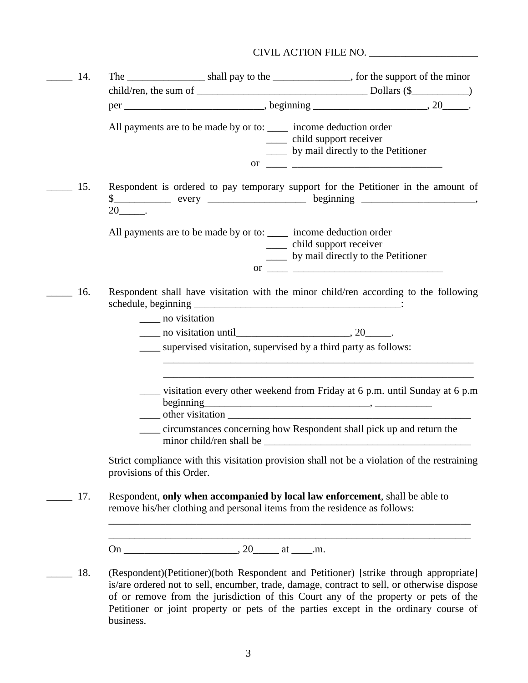| 14. |                           |                                                                                                                                                                                                                                                                                                                                                                                                                             |
|-----|---------------------------|-----------------------------------------------------------------------------------------------------------------------------------------------------------------------------------------------------------------------------------------------------------------------------------------------------------------------------------------------------------------------------------------------------------------------------|
|     |                           |                                                                                                                                                                                                                                                                                                                                                                                                                             |
|     |                           |                                                                                                                                                                                                                                                                                                                                                                                                                             |
|     |                           | All payments are to be made by or to: _____ income deduction order<br>____ child support receiver<br>____ by mail directly to the Petitioner                                                                                                                                                                                                                                                                                |
|     |                           | or $\frac{1}{\sqrt{1-\frac{1}{2}}}\frac{1}{\sqrt{1-\frac{1}{2}}}\frac{1}{\sqrt{1-\frac{1}{2}}}\frac{1}{\sqrt{1-\frac{1}{2}}}\frac{1}{\sqrt{1-\frac{1}{2}}}\frac{1}{\sqrt{1-\frac{1}{2}}}\frac{1}{\sqrt{1-\frac{1}{2}}}\frac{1}{\sqrt{1-\frac{1}{2}}}\frac{1}{\sqrt{1-\frac{1}{2}}}\frac{1}{\sqrt{1-\frac{1}{2}}}\frac{1}{\sqrt{1-\frac{1}{2}}}\frac{1}{\sqrt{1-\frac{1}{2}}}\frac{1}{\sqrt{1-\frac{1}{2}}}\frac{1}{\sqrt{1$ |
| 15. | $20$ <sub>_____</sub> .   | Respondent is ordered to pay temporary support for the Petitioner in the amount of                                                                                                                                                                                                                                                                                                                                          |
|     |                           | All payments are to be made by or to: ______ income deduction order<br>____ child support receiver<br>____ by mail directly to the Petitioner                                                                                                                                                                                                                                                                               |
| 16. | ______ no visitation      | Respondent shall have visitation with the minor child/ren according to the following                                                                                                                                                                                                                                                                                                                                        |
|     |                           |                                                                                                                                                                                                                                                                                                                                                                                                                             |
|     |                           | supervised visitation, supervised by a third party as follows:                                                                                                                                                                                                                                                                                                                                                              |
|     |                           | ightharpoonup visitation every other weekend from Friday at 6 p.m. until Sunday at 6 p.m.                                                                                                                                                                                                                                                                                                                                   |
|     |                           | circumstances concerning how Respondent shall pick up and return the                                                                                                                                                                                                                                                                                                                                                        |
|     | provisions of this Order. | Strict compliance with this visitation provision shall not be a violation of the restraining                                                                                                                                                                                                                                                                                                                                |
| 17. |                           | Respondent, only when accompanied by local law enforcement, shall be able to<br>remove his/her clothing and personal items from the residence as follows:                                                                                                                                                                                                                                                                   |
|     |                           |                                                                                                                                                                                                                                                                                                                                                                                                                             |
| 18. |                           | (Respondent)(Petitioner)(both Respondent and Petitioner) [strike through appropriate]<br>is/are ordered not to sell, encumber, trade, damage, contract to sell, or otherwise dispose<br>of or remove from the jurisdiction of this Court any of the property or pets of the                                                                                                                                                 |

business.

Petitioner or joint property or pets of the parties except in the ordinary course of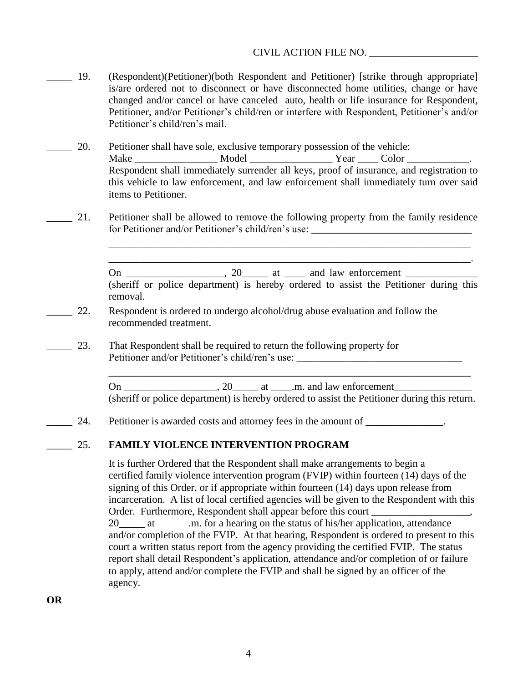- \_\_\_\_\_ 19. (Respondent)(Petitioner)(both Respondent and Petitioner) [strike through appropriate] is/are ordered not to disconnect or have disconnected home utilities, change or have changed and/or cancel or have canceled auto, health or life insurance for Respondent, Petitioner, and/or Petitioner's child/ren or interfere with Respondent, Petitioner's and/or Petitioner's child/ren's mail.
- \_\_\_\_\_ 20. Petitioner shall have sole, exclusive temporary possession of the vehicle: Make \_\_\_\_\_\_\_\_\_\_\_\_\_\_\_\_\_\_\_\_ Model \_\_\_\_\_\_\_\_\_\_\_\_\_\_\_\_\_\_\_\_\_\_ Year \_\_\_\_\_ Color \_\_\_\_\_\_\_\_\_\_\_\_\_\_\_ Respondent shall immediately surrender all keys, proof of insurance, and registration to this vehicle to law enforcement, and law enforcement shall immediately turn over said items to Petitioner.
- 21. Petitioner shall be allowed to remove the following property from the family residence for Petitioner and/or Petitioner's child/ren's use:

On \_\_\_\_\_\_\_\_\_\_\_\_\_\_\_\_\_\_\_, 20\_\_\_\_\_ at \_\_\_\_ and law enforcement \_\_\_\_\_\_\_\_\_\_\_\_\_\_ (sheriff or police department) is hereby ordered to assist the Petitioner during this removal.

\_\_\_\_\_\_\_\_\_\_\_\_\_\_\_\_\_\_\_\_\_\_\_\_\_\_\_\_\_\_\_\_\_\_\_\_\_\_\_\_\_\_\_\_\_\_\_\_\_\_\_\_\_\_\_\_\_\_\_\_\_\_\_\_\_\_\_\_\_\_ \_\_\_\_\_\_\_\_\_\_\_\_\_\_\_\_\_\_\_\_\_\_\_\_\_\_\_\_\_\_\_\_\_\_\_\_\_\_\_\_\_\_\_\_\_\_\_\_\_\_\_\_\_\_\_\_\_\_\_\_\_\_\_\_\_\_\_\_\_\_.

- 22. Respondent is ordered to undergo alcohol/drug abuse evaluation and follow the recommended treatment.
- 23. That Respondent shall be required to return the following property for Petitioner and/or Petitioner's child/ren's use:

On \_\_\_\_\_\_\_\_\_\_\_\_\_\_\_\_\_\_, 20\_\_\_\_\_ at \_\_\_\_.m. and law enforcement\_\_\_\_\_\_\_\_\_\_\_\_\_\_\_ (sheriff or police department) is hereby ordered to assist the Petitioner during this return.

\_\_\_\_\_\_\_\_\_\_\_\_\_\_\_\_\_\_\_\_\_\_\_\_\_\_\_\_\_\_\_\_\_\_\_\_\_\_\_\_\_\_\_\_\_\_\_\_\_\_\_\_\_\_\_\_\_\_\_\_\_\_\_\_\_\_\_\_\_\_

24. Petitioner is awarded costs and attorney fees in the amount of \_\_\_\_\_\_\_\_\_\_\_\_.

## \_\_\_\_\_ 25. **FAMILY VIOLENCE INTERVENTION PROGRAM**

It is further Ordered that the Respondent shall make arrangements to begin a certified family violence intervention program (FVIP) within fourteen (14) days of the signing of this Order, or if appropriate within fourteen (14) days upon release from incarceration. A list of local certified agencies will be given to the Respondent with this Order. Furthermore, Respondent shall appear before this court

20\_\_\_\_\_ at .m. for a hearing on the status of his/her application, attendance and/or completion of the FVIP. At that hearing, Respondent is ordered to present to this court a written status report from the agency providing the certified FVIP. The status report shall detail Respondent's application, attendance and/or completion of or failure to apply, attend and/or complete the FVIP and shall be signed by an officer of the agency.

**OR**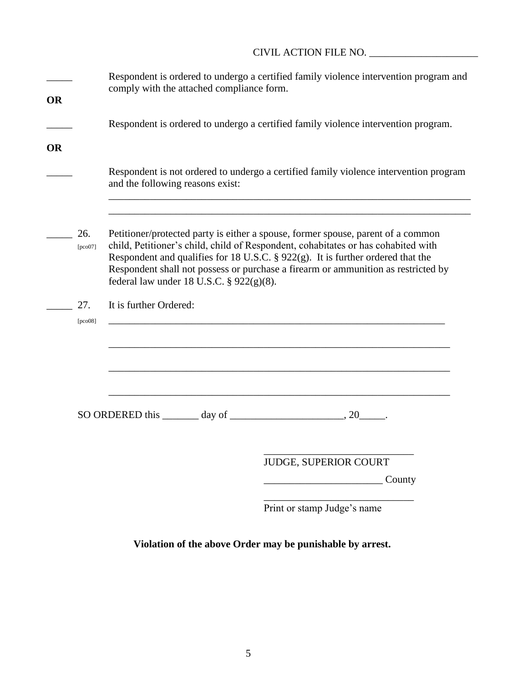| <b>OR</b> |                    | comply with the attached compliance form.                              | Respondent is ordered to undergo a certified family violence intervention program and                                                                                                                                                                                                                                                            |  |
|-----------|--------------------|------------------------------------------------------------------------|--------------------------------------------------------------------------------------------------------------------------------------------------------------------------------------------------------------------------------------------------------------------------------------------------------------------------------------------------|--|
|           |                    |                                                                        | Respondent is ordered to undergo a certified family violence intervention program.                                                                                                                                                                                                                                                               |  |
| <b>OR</b> |                    |                                                                        | Respondent is not ordered to undergo a certified family violence intervention program                                                                                                                                                                                                                                                            |  |
|           |                    | and the following reasons exist:                                       |                                                                                                                                                                                                                                                                                                                                                  |  |
|           | 26.<br>[ $pco07$ ] | federal law under 18 U.S.C. § 922(g)(8).                               | Petitioner/protected party is either a spouse, former spouse, parent of a common<br>child, Petitioner's child, child of Respondent, cohabitates or has cohabited with<br>Respondent and qualifies for 18 U.S.C. $\S$ 922(g). It is further ordered that the<br>Respondent shall not possess or purchase a firearm or ammunition as restricted by |  |
|           | 27.<br>[pco08]     | It is further Ordered:                                                 |                                                                                                                                                                                                                                                                                                                                                  |  |
|           |                    |                                                                        |                                                                                                                                                                                                                                                                                                                                                  |  |
|           |                    | SO ORDERED this $\_\_\_\_$ day of $\_\_\_\_\_\_\_$ , 20 $\_\_\_\_\_$ . |                                                                                                                                                                                                                                                                                                                                                  |  |
|           |                    |                                                                        | JUDGE, SUPERIOR COURT<br>County                                                                                                                                                                                                                                                                                                                  |  |
|           |                    |                                                                        | Print or stamp Judge's name                                                                                                                                                                                                                                                                                                                      |  |

# **Violation of the above Order may be punishable by arrest.**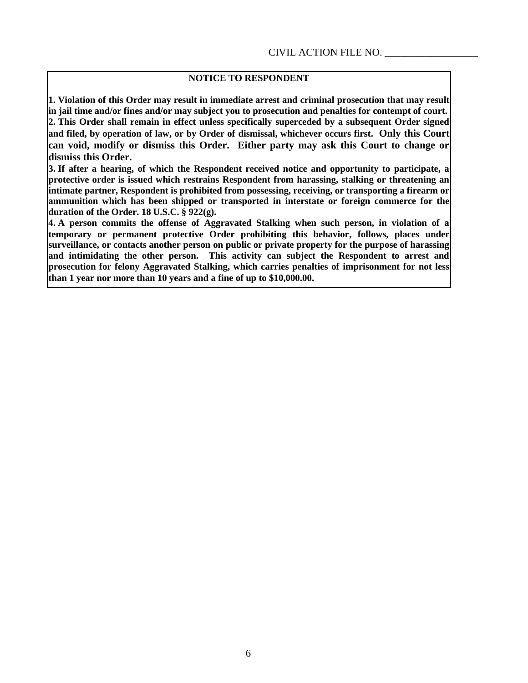# **NOTICE TO RESPONDENT**

**1. Violation of this Order may result in immediate arrest and criminal prosecution that may result in jail time and/or fines and/or may subject you to prosecution and penalties for contempt of court. 2. This Order shall remain in effect unless specifically superceded by a subsequent Order signed and filed, by operation of law, or by Order of dismissal, whichever occurs first. Only this Court can void, modify or dismiss this Order. Either party may ask this Court to change or dismiss this Order.**

**3. If after a hearing, of which the Respondent received notice and opportunity to participate, a protective order is issued which restrains Respondent from harassing, stalking or threatening an intimate partner, Respondent is prohibited from possessing, receiving, or transporting a firearm or ammunition which has been shipped or transported in interstate or foreign commerce for the duration of the Order. 18 U.S.C. § 922(g).**

**4. A person commits the offense of Aggravated Stalking when such person, in violation of a temporary or permanent protective Order prohibiting this behavior, follows, places under surveillance, or contacts another person on public or private property for the purpose of harassing and intimidating the other person. This activity can subject the Respondent to arrest and prosecution for felony Aggravated Stalking, which carries penalties of imprisonment for not less than 1 year nor more than 10 years and a fine of up to \$10,000.00.**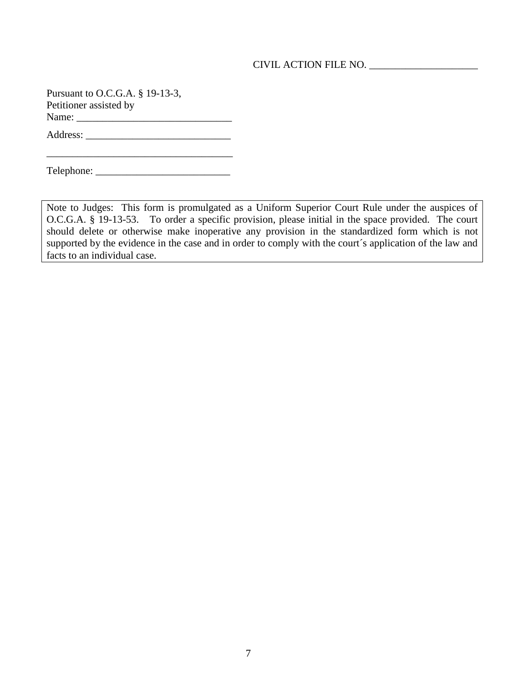Pursuant to O.C.G.A. § 19-13-3, Petitioner assisted by Name:

Address: \_\_\_\_\_\_\_\_\_\_\_\_\_\_\_\_\_\_\_\_\_\_\_\_\_\_\_\_

\_\_\_\_\_\_\_\_\_\_\_\_\_\_\_\_\_\_\_\_\_\_\_\_\_\_\_\_\_\_\_\_\_\_\_\_ Telephone: \_\_\_\_\_\_\_\_\_\_\_\_\_\_\_\_\_\_\_\_\_\_\_\_\_\_

Note to Judges: This form is promulgated as a Uniform Superior Court Rule under the auspices of O.C.G.A. § 19-13-53. To order a specific provision, please initial in the space provided. The court should delete or otherwise make inoperative any provision in the standardized form which is not supported by the evidence in the case and in order to comply with the court's application of the law and facts to an individual case.